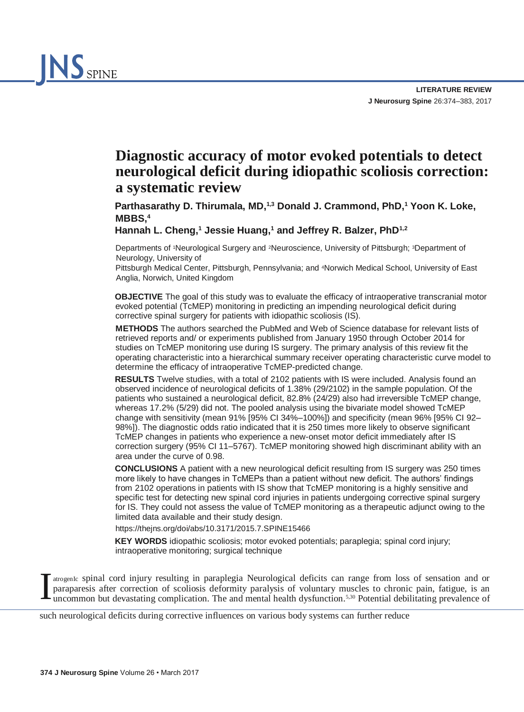# NS SPINE

# **Diagnostic accuracy of motor evoked potentials to detect neurological deficit during idiopathic scoliosis correction: a systematic review**

**Parthasarathy D. Thirumala, MD,1,3 Donald J. Crammond, PhD,<sup>1</sup> Yoon K. Loke, MBBS,<sup>4</sup>** 

## **Hannah L. Cheng,<sup>1</sup> Jessie Huang,<sup>1</sup> and Jeffrey R. Balzer, PhD1,2**

Departments of 1Neurological Surgery and 2Neuroscience, University of Pittsburgh; 3Department of Neurology, University of

Pittsburgh Medical Center, Pittsburgh, Pennsylvania; and 4Norwich Medical School, University of East Anglia, Norwich, United Kingdom

**OBJECTIVE** The goal of this study was to evaluate the efficacy of intraoperative transcranial motor evoked potential (TcMEP) monitoring in predicting an impending neurological deficit during corrective spinal surgery for patients with idiopathic scoliosis (IS).

**METHODS** The authors searched the PubMed and Web of Science database for relevant lists of retrieved reports and/ or experiments published from January 1950 through October 2014 for studies on TcMEP monitoring use during IS surgery. The primary analysis of this review fit the operating characteristic into a hierarchical summary receiver operating characteristic curve model to determine the efficacy of intraoperative TcMEP-predicted change.

**RESULTS** Twelve studies, with a total of 2102 patients with IS were included. Analysis found an observed incidence of neurological deficits of 1.38% (29/2102) in the sample population. Of the patients who sustained a neurological deficit, 82.8% (24/29) also had irreversible TcMEP change, whereas 17.2% (5/29) did not. The pooled analysis using the bivariate model showed TcMEP change with sensitivity (mean 91% [95% CI 34%–100%]) and specificity (mean 96% [95% CI 92– 98%]). The diagnostic odds ratio indicated that it is 250 times more likely to observe significant TcMEP changes in patients who experience a new-onset motor deficit immediately after IS correction surgery (95% CI 11–5767). TcMEP monitoring showed high discriminant ability with an area under the curve of 0.98.

**CONCLUSIONS** A patient with a new neurological deficit resulting from IS surgery was 250 times more likely to have changes in TcMEPs than a patient without new deficit. The authors' findings from 2102 operations in patients with IS show that TcMEP monitoring is a highly sensitive and specific test for detecting new spinal cord injuries in patients undergoing corrective spinal surgery for IS. They could not assess the value of TcMEP monitoring as a therapeutic adjunct owing to the limited data available and their study design.

https://thejns.org/doi/abs/10.3171/2015.7.SPINE15466

**KEY WORDS** idiopathic scoliosis; motor evoked potentials; paraplegia; spinal cord injury; intraoperative monitoring; surgical technique

atrogenIc spinal cord injury resulting in paraplegia Neurological deficits can range from loss of sensation and or paraparesis after correction of scoliosis deformity paralysis of voluntary muscles to chronic pain, fatigue, is an uncommon but devastating complication. The and mental health dysfunction.<sup>5,30</sup> Potential debilitating prevalence of I

such neurological deficits during corrective influences on various body systems can further reduce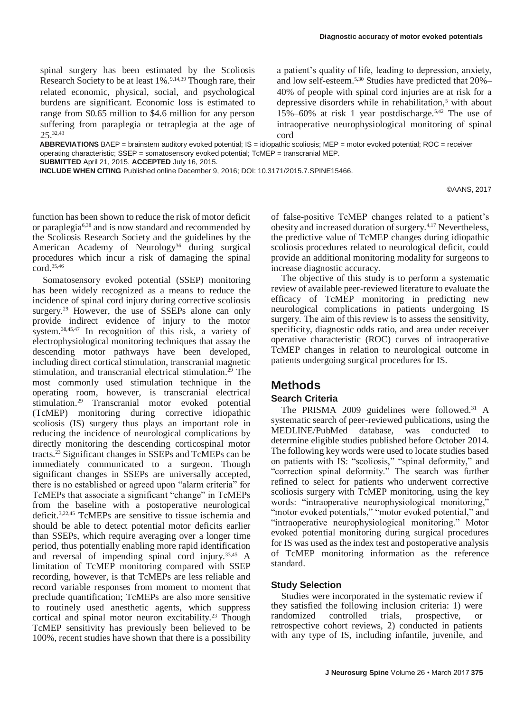spinal surgery has been estimated by the Scoliosis Research Society to be at least 1%.<sup>9,14,39</sup> Though rare, their related economic, physical, social, and psychological burdens are significant. Economic loss is estimated to range from \$0.65 million to \$4.6 million for any person suffering from paraplegia or tetraplegia at the age of 25.32,43

a patient's quality of life, leading to depression, anxiety, and low self-esteem.5,30 Studies have predicted that 20%– 40% of people with spinal cord injuries are at risk for a depressive disorders while in rehabilitation,<sup>5</sup> with about 15%–60% at risk 1 year postdischarge.5,42 The use of intraoperative neurophysiological monitoring of spinal

cord

**ABBREVIATIONS** BAEP = brainstem auditory evoked potential; IS = idiopathic scoliosis; MEP = motor evoked potential; ROC = receiver operating characteristic; SSEP = somatosensory evoked potential; TcMEP = transcranial MEP.

**SUBMITTED** April 21, 2015. **ACCEPTED** July 16, 2015.

**INCLUDE WHEN CITING** Published online December 9, 2016; DOI: 10.3171/2015.7.SPINE15466.

©AANS, 2017

function has been shown to reduce the risk of motor deficit or paraplegia6,38 and is now standard and recommended by the Scoliosis Research Society and the guidelines by the American Academy of Neurology<sup>36</sup> during surgical procedures which incur a risk of damaging the spinal cord.35,46

Somatosensory evoked potential (SSEP) monitoring has been widely recognized as a means to reduce the incidence of spinal cord injury during corrective scoliosis surgery.<sup>29</sup> However, the use of SSEPs alone can only provide indirect evidence of injury to the motor system.38,45,47 In recognition of this risk, a variety of electrophysiological monitoring techniques that assay the descending motor pathways have been developed, including direct cortical stimulation, transcranial magnetic stimulation, and transcranial electrical stimulation.<sup>29</sup> The most commonly used stimulation technique in the operating room, however, is transcranial electrical stimulation.<sup>29</sup> Transcranial motor evoked potential (TcMEP) monitoring during corrective idiopathic scoliosis (IS) surgery thus plays an important role in reducing the incidence of neurological complications by directly monitoring the descending corticospinal motor tracts.<sup>23</sup> Significant changes in SSEPs and TcMEPs can be immediately communicated to a surgeon. Though significant changes in SSEPs are universally accepted, there is no established or agreed upon "alarm criteria" for TcMEPs that associate a significant "change" in TcMEPs from the baseline with a postoperative neurological deficit.3,22,45 TcMEPs are sensitive to tissue ischemia and should be able to detect potential motor deficits earlier than SSEPs, which require averaging over a longer time period, thus potentially enabling more rapid identification and reversal of impending spinal cord injury.33,45 A limitation of TcMEP monitoring compared with SSEP recording, however, is that TcMEPs are less reliable and record variable responses from moment to moment that preclude quantification; TcMEPs are also more sensitive to routinely used anesthetic agents, which suppress cortical and spinal motor neuron excitability.<sup>23</sup> Though TcMEP sensitivity has previously been believed to be 100%, recent studies have shown that there is a possibility of false-positive TcMEP changes related to a patient's obesity and increased duration of surgery.4,17 Nevertheless, the predictive value of TcMEP changes during idiopathic scoliosis procedures related to neurological deficit, could provide an additional monitoring modality for surgeons to increase diagnostic accuracy.

The objective of this study is to perform a systematic review of available peer-reviewed literature to evaluate the efficacy of TcMEP monitoring in predicting new neurological complications in patients undergoing IS surgery. The aim of this review is to assess the sensitivity, specificity, diagnostic odds ratio, and area under receiver operative characteristic (ROC) curves of intraoperative TcMEP changes in relation to neurological outcome in patients undergoing surgical procedures for IS.

## **Methods**

#### **Search Criteria**

The PRISMA 2009 guidelines were followed. $31$  A systematic search of peer-reviewed publications, using the MEDLINE/PubMed database, was conducted to determine eligible studies published before October 2014. The following key words were used to locate studies based on patients with IS: "scoliosis," "spinal deformity," and "correction spinal deformity." The search was further refined to select for patients who underwent corrective scoliosis surgery with TcMEP monitoring, using the key words: "intraoperative neurophysiological monitoring," "motor evoked potentials," "motor evoked potential," and "intraoperative neurophysiological monitoring." Motor evoked potential monitoring during surgical procedures for IS was used as the index test and postoperative analysis of TcMEP monitoring information as the reference standard.

#### **Study Selection**

Studies were incorporated in the systematic review if they satisfied the following inclusion criteria: 1) were randomized controlled trials, prospective, or retrospective cohort reviews, 2) conducted in patients with any type of IS, including infantile, juvenile, and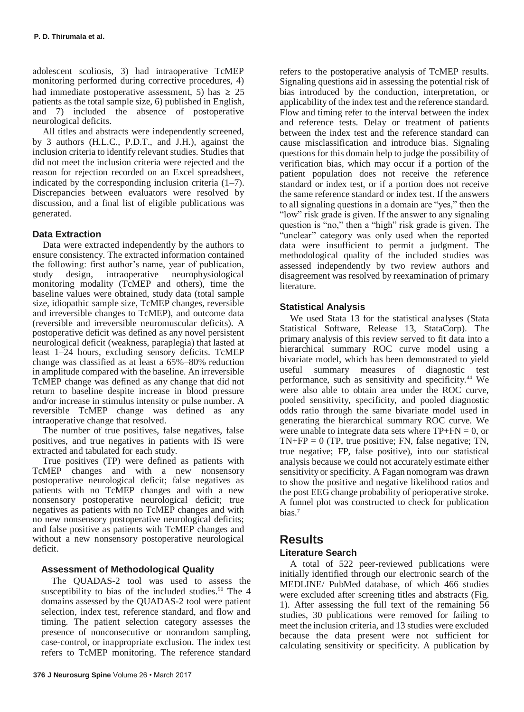adolescent scoliosis, 3) had intraoperative TcMEP monitoring performed during corrective procedures, 4) had immediate postoperative assessment, 5) has  $\geq 25$ patients as the total sample size, 6) published in English, and 7) included the absence of postoperative neurological deficits.

All titles and abstracts were independently screened, by 3 authors (H.L.C., P.D.T., and J.H.), against the inclusion criteria to identify relevant studies. Studies that did not meet the inclusion criteria were rejected and the reason for rejection recorded on an Excel spreadsheet, indicated by the corresponding inclusion criteria (1–7). Discrepancies between evaluators were resolved by discussion, and a final list of eligible publications was generated.

#### **Data Extraction**

Data were extracted independently by the authors to ensure consistency. The extracted information contained the following: first author's name, year of publication, study design, intraoperative neurophysiological monitoring modality (TcMEP and others), time the baseline values were obtained, study data (total sample size, idiopathic sample size, TcMEP changes, reversible and irreversible changes to TcMEP), and outcome data (reversible and irreversible neuromuscular deficits). A postoperative deficit was defined as any novel persistent neurological deficit (weakness, paraplegia) that lasted at least 1–24 hours, excluding sensory deficits. TcMEP change was classified as at least a 65%–80% reduction in amplitude compared with the baseline. An irreversible TcMEP change was defined as any change that did not return to baseline despite increase in blood pressure and/or increase in stimulus intensity or pulse number. A reversible TcMEP change was defined as any intraoperative change that resolved.

The number of true positives, false negatives, false positives, and true negatives in patients with IS were extracted and tabulated for each study.

True positives (TP) were defined as patients with TcMEP changes and with a new nonsensory postoperative neurological deficit; false negatives as patients with no TcMEP changes and with a new nonsensory postoperative neurological deficit; true negatives as patients with no TcMEP changes and with no new nonsensory postoperative neurological deficits; and false positive as patients with TcMEP changes and without a new nonsensory postoperative neurological deficit.

#### **Assessment of Methodological Quality**

The QUADAS-2 tool was used to assess the susceptibility to bias of the included studies. $50$  The 4 domains assessed by the QUADAS-2 tool were patient selection, index test, reference standard, and flow and timing. The patient selection category assesses the presence of nonconsecutive or nonrandom sampling, case-control, or inappropriate exclusion. The index test refers to TcMEP monitoring. The reference standard

refers to the postoperative analysis of TcMEP results. Signaling questions aid in assessing the potential risk of bias introduced by the conduction, interpretation, or applicability of the index test and the reference standard. Flow and timing refer to the interval between the index and reference tests. Delay or treatment of patients between the index test and the reference standard can cause misclassification and introduce bias. Signaling questions for this domain help to judge the possibility of verification bias, which may occur if a portion of the patient population does not receive the reference standard or index test, or if a portion does not receive the same reference standard or index test. If the answers to all signaling questions in a domain are "yes," then the "low" risk grade is given. If the answer to any signaling question is "no," then a "high" risk grade is given. The "unclear" category was only used when the reported data were insufficient to permit a judgment. The methodological quality of the included studies was assessed independently by two review authors and disagreement was resolved by reexamination of primary literature.

#### **Statistical Analysis**

We used Stata 13 for the statistical analyses (Stata Statistical Software, Release 13, StataCorp). The primary analysis of this review served to fit data into a hierarchical summary ROC curve model using a bivariate model, which has been demonstrated to yield useful summary measures of diagnostic test performance, such as sensitivity and specificity.<sup>44</sup> We were also able to obtain area under the ROC curve, pooled sensitivity, specificity, and pooled diagnostic odds ratio through the same bivariate model used in generating the hierarchical summary ROC curve. We were unable to integrate data sets where  $TP+FN = 0$ , or  $TN+FP = 0$  (TP, true positive; FN, false negative; TN, true negative; FP, false positive), into our statistical analysis because we could not accurately estimate either sensitivity or specificity. A Fagan nomogram was drawn to show the positive and negative likelihood ratios and the post EEG change probability of perioperative stroke. A funnel plot was constructed to check for publication bias.<sup>7</sup>

### **Results**

#### **Literature Search**

A total of 522 peer-reviewed publications were initially identified through our electronic search of the MEDLINE/ PubMed database, of which 466 studies were excluded after screening titles and abstracts (Fig. 1). After assessing the full text of the remaining 56 studies, 30 publications were removed for failing to meet the inclusion criteria, and 13 studies were excluded because the data present were not sufficient for calculating sensitivity or specificity. A publication by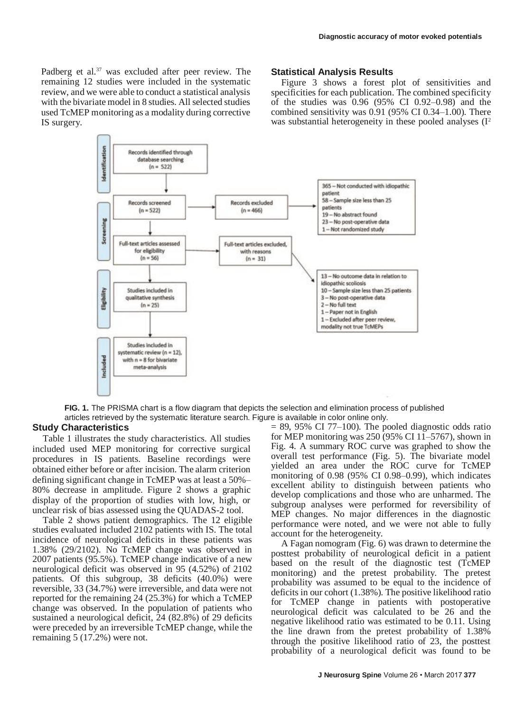Padberg et al.<sup>37</sup> was excluded after peer review. The remaining 12 studies were included in the systematic review, and we were able to conduct a statistical analysis with the bivariate model in 8 studies. All selected studies used TcMEP monitoring as a modality during corrective IS surgery.

#### **Statistical Analysis Results**

Figure 3 shows a forest plot of sensitivities and specificities for each publication. The combined specificity of the studies was 0.96 (95% CI 0.92–0.98) and the combined sensitivity was 0.91 (95% CI 0.34–1.00). There was substantial heterogeneity in these pooled analyses (I<sup>2</sup>



**FIG. 1.** The PRISMA chart is a flow diagram that depicts the selection and elimination process of published articles retrieved by the systematic literature search. Figure is available in color online only.

#### **Study Characteristics**

Table 1 illustrates the study characteristics. All studies included used MEP monitoring for corrective surgical procedures in IS patients. Baseline recordings were obtained either before or after incision. The alarm criterion defining significant change in TcMEP was at least a 50%– 80% decrease in amplitude. Figure 2 shows a graphic display of the proportion of studies with low, high, or unclear risk of bias assessed using the QUADAS-2 tool.

Table 2 shows patient demographics. The 12 eligible studies evaluated included 2102 patients with IS. The total incidence of neurological deficits in these patients was 1.38% (29/2102). No TcMEP change was observed in 2007 patients (95.5%). TcMEP change indicative of a new neurological deficit was observed in 95 (4.52%) of 2102 patients. Of this subgroup, 38 deficits (40.0%) were reversible, 33 (34.7%) were irreversible, and data were not reported for the remaining 24 (25.3%) for which a TcMEP change was observed. In the population of patients who sustained a neurological deficit, 24 (82.8%) of 29 deficits were preceded by an irreversible TcMEP change, while the remaining 5 (17.2%) were not.

 $= 89, 95\%$  CI 77–100). The pooled diagnostic odds ratio for MEP monitoring was  $250(95\% \text{ CI } 11-5767)$ , shown in Fig. 4. A summary ROC curve was graphed to show the overall test performance (Fig. 5). The bivariate model yielded an area under the ROC curve for TcMEP monitoring of 0.98 (95% CI 0.98–0.99), which indicates excellent ability to distinguish between patients who develop complications and those who are unharmed. The subgroup analyses were performed for reversibility of MEP changes. No major differences in the diagnostic performance were noted, and we were not able to fully account for the heterogeneity.

A Fagan nomogram (Fig. 6) was drawn to determine the posttest probability of neurological deficit in a patient based on the result of the diagnostic test (TcMEP monitoring) and the pretest probability. The pretest probability was assumed to be equal to the incidence of deficits in our cohort (1.38%). The positive likelihood ratio for TcMEP change in patients with postoperative neurological deficit was calculated to be 26 and the negative likelihood ratio was estimated to be 0.11. Using the line drawn from the pretest probability of 1.38% through the positive likelihood ratio of 23, the posttest probability of a neurological deficit was found to be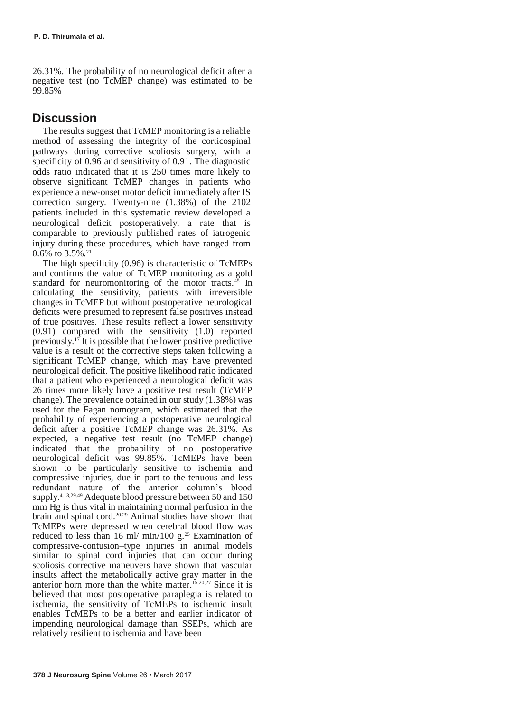26.31%. The probability of no neurological deficit after a negative test (no TcMEP change) was estimated to be 99.85%

## **Discussion**

The results suggest that TcMEP monitoring is a reliable method of assessing the integrity of the corticospinal pathways during corrective scoliosis surgery, with a specificity of 0.96 and sensitivity of 0.91. The diagnostic odds ratio indicated that it is 250 times more likely to observe significant TcMEP changes in patients who experience a new-onset motor deficit immediately after IS correction surgery. Twenty-nine (1.38%) of the 2102 patients included in this systematic review developed a neurological deficit postoperatively, a rate that is comparable to previously published rates of iatrogenic injury during these procedures, which have ranged from 0.6% to 3.5%.<sup>21</sup>

The high specificity (0.96) is characteristic of TcMEPs and confirms the value of TcMEP monitoring as a gold standard for neuromonitoring of the motor tracts. $45$  In calculating the sensitivity, patients with irreversible changes in TcMEP but without postoperative neurological deficits were presumed to represent false positives instead of true positives. These results reflect a lower sensitivity (0.91) compared with the sensitivity (1.0) reported previously.<sup>17</sup> It is possible that the lower positive predictive value is a result of the corrective steps taken following a significant TcMEP change, which may have prevented neurological deficit. The positive likelihood ratio indicated that a patient who experienced a neurological deficit was 26 times more likely have a positive test result (TcMEP change). The prevalence obtained in our study (1.38%) was used for the Fagan nomogram, which estimated that the probability of experiencing a postoperative neurological deficit after a positive TcMEP change was 26.31%. As expected, a negative test result (no TcMEP change) indicated that the probability of no postoperative neurological deficit was 99.85%. TcMEPs have been shown to be particularly sensitive to ischemia and compressive injuries, due in part to the tenuous and less redundant nature of the anterior column's blood supply.4,13,29,49 Adequate blood pressure between 50 and 150 mm Hg is thus vital in maintaining normal perfusion in the brain and spinal cord.20,29 Animal studies have shown that TcMEPs were depressed when cerebral blood flow was reduced to less than 16 ml/ min/100  $g<sup>25</sup>$  Examination of compressive-contusion–type injuries in animal models similar to spinal cord injuries that can occur during scoliosis corrective maneuvers have shown that vascular insults affect the metabolically active gray matter in the anterior horn more than the white matter.15,20,27 Since it is believed that most postoperative paraplegia is related to ischemia, the sensitivity of TcMEPs to ischemic insult enables TcMEPs to be a better and earlier indicator of impending neurological damage than SSEPs, which are relatively resilient to ischemia and have been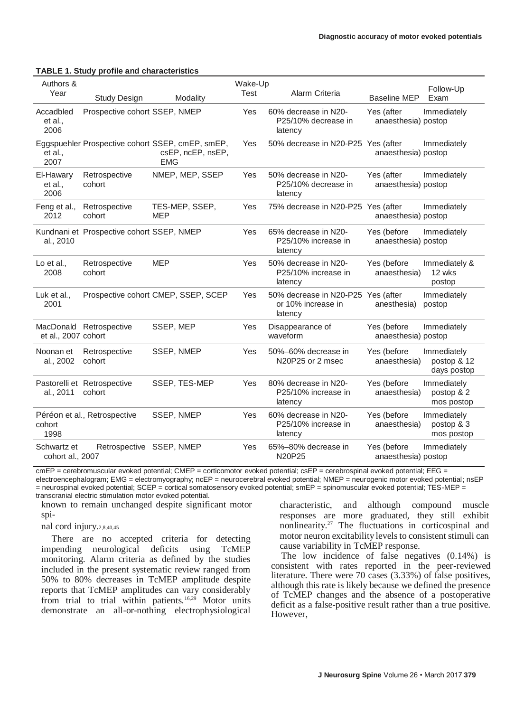#### **TABLE 1. Study profile and characteristics**

| Authors &<br>Year               | <b>Study Design</b>                       | Modality                                                                            | Wake-Up<br><b>Test</b> | Alarm Criteria                                                      | <b>Baseline MEP</b>                | Follow-Up<br>Exam                         |
|---------------------------------|-------------------------------------------|-------------------------------------------------------------------------------------|------------------------|---------------------------------------------------------------------|------------------------------------|-------------------------------------------|
| Accadbled<br>et al.,<br>2006    | Prospective cohort SSEP, NMEP             |                                                                                     | Yes                    | 60% decrease in N20-<br>P25/10% decrease in<br>latency              | Yes (after<br>anaesthesia) postop  | Immediately                               |
| et al.,<br>2007                 |                                           | Eggspuehler Prospective cohort SSEP, cmEP, smEP,<br>csEP, ncEP, nsEP,<br><b>EMG</b> | Yes                    | 50% decrease in N20-P25 Yes (after                                  | anaesthesia) postop                | Immediately                               |
| El-Hawary<br>et al.,<br>2006    | Retrospective<br>cohort                   | NMEP, MEP, SSEP                                                                     | Yes                    | 50% decrease in N20-<br>P25/10% decrease in<br>latency              | Yes (after<br>anaesthesia) postop  | Immediately                               |
| Feng et al.,<br>2012            | Retrospective<br>cohort                   | TES-MEP, SSEP,<br><b>MEP</b>                                                        | Yes                    | 75% decrease in N20-P25 Yes (after                                  | anaesthesia) postop                | Immediately                               |
| al., 2010                       | Kundnani et Prospective cohort SSEP, NMEP |                                                                                     | Yes                    | 65% decrease in N20-<br>P25/10% increase in<br>latency              | Yes (before<br>anaesthesia) postop | Immediately                               |
| Lo et al.,<br>2008              | Retrospective<br>cohort                   | <b>MEP</b>                                                                          | Yes                    | 50% decrease in N20-<br>P25/10% increase in<br>latency              | Yes (before<br>anaesthesia)        | Immediately &<br>12 wks<br>postop         |
| Luk et al.,<br>2001             |                                           | Prospective cohort CMEP, SSEP, SCEP                                                 | Yes                    | 50% decrease in N20-P25 Yes (after<br>or 10% increase in<br>latency | anesthesia)                        | Immediately<br>postop                     |
| et al., 2007 cohort             | MacDonald Retrospective                   | SSEP, MEP                                                                           | Yes                    | Disappearance of<br>waveform                                        | Yes (before<br>anaesthesia) postop | Immediately                               |
| Noonan et<br>al., 2002          | Retrospective<br>cohort                   | SSEP, NMEP                                                                          | Yes                    | 50%-60% decrease in<br>N20P25 or 2 msec                             | Yes (before<br>anaesthesia)        | Immediately<br>postop & 12<br>days postop |
| al., 2011                       | Pastorelli et Retrospective<br>cohort     | SSEP, TES-MEP                                                                       | Yes                    | 80% decrease in N20-<br>P25/10% increase in<br>latency              | Yes (before<br>anaesthesia)        | Immediately<br>postop & 2<br>mos postop   |
| cohort<br>1998                  | Péréon et al., Retrospective              | SSEP, NMEP                                                                          | Yes                    | 60% decrease in N20-<br>P25/10% increase in<br>latency              | Yes (before<br>anaesthesia)        | Immediately<br>postop & 3<br>mos postop   |
| Schwartz et<br>cohort al., 2007 | Retrospective SSEP, NMEP                  |                                                                                     | Yes                    | 65%-80% decrease in<br>N20P25                                       | Yes (before<br>anaesthesia) postop | Immediately                               |

 $mEP =$  cerebromuscular evoked potential; CMEP = corticomotor evoked potential;  $cSEP =$  cerebrospinal evoked potential; EEG = electroencephalogram; EMG = electromyography; ncEP = neurocerebral evoked potential; NMEP = neurogenic motor evoked potential; nsEP = neurospinal evoked potential; SCEP = cortical somatosensory evoked potential; smEP = spinomuscular evoked potential; TES-MEP = transcranial electric stimulation motor evoked potential.

known to remain unchanged despite significant motor spi-

nal cord injury.2,8,40,45

There are no accepted criteria for detecting impending neurological deficits using TcMEP monitoring. Alarm criteria as defined by the studies included in the present systematic review ranged from 50% to 80% decreases in TcMEP amplitude despite reports that TcMEP amplitudes can vary considerably from trial to trial within patients.<sup>16,29</sup> Motor units demonstrate an all-or-nothing electrophysiological characteristic, and although compound muscle responses are more graduated, they still exhibit nonlinearity.<sup>27</sup> The fluctuations in corticospinal and motor neuron excitability levels to consistent stimuli can cause variability in TcMEP response.

The low incidence of false negatives (0.14%) is consistent with rates reported in the peer-reviewed literature. There were 70 cases (3.33%) of false positives, although this rate is likely because we defined the presence of TcMEP changes and the absence of a postoperative deficit as a false-positive result rather than a true positive. However,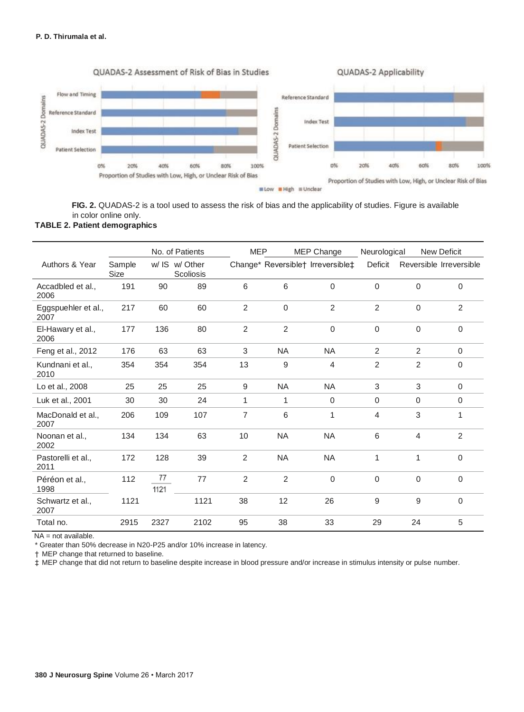

**FIG. 2.** QUADAS-2 is a tool used to assess the risk of bias and the applicability of studies. Figure is available in color online only.

#### **TABLE 2. Patient demographics**

|                             | No. of Patients       |            |                             | <b>MEP</b>     |           | MEP Change                        | Neurological   |                | <b>New Deficit</b>      |  |
|-----------------------------|-----------------------|------------|-----------------------------|----------------|-----------|-----------------------------------|----------------|----------------|-------------------------|--|
| Authors & Year              | Sample<br><b>Size</b> |            | w/ IS w/ Other<br>Scoliosis |                |           | Change* Reversible† Irreversible‡ | <b>Deficit</b> |                | Reversible Irreversible |  |
| Accadbled et al.,<br>2006   | 191                   | 90         | 89                          | 6              | 6         | $\mathbf 0$                       | $\mathbf 0$    | $\mathbf{0}$   | $\mathbf 0$             |  |
| Eggspuehler et al.,<br>2007 | 217                   | 60         | 60                          | $\mathbf{2}$   | $\Omega$  | 2                                 | $\mathbf{2}$   | $\Omega$       | $\overline{2}$          |  |
| El-Hawary et al.,<br>2006   | 177                   | 136        | 80                          | $\overline{2}$ | 2         | $\mathbf 0$                       | $\Omega$       | $\mathbf{0}$   | $\mathbf 0$             |  |
| Feng et al., 2012           | 176                   | 63         | 63                          | 3              | <b>NA</b> | <b>NA</b>                         | $\mathbf{2}$   | 2              | 0                       |  |
| Kundnani et al.,<br>2010    | 354                   | 354        | 354                         | 13             | $9\,$     | 4                                 | $\overline{2}$ | $\overline{2}$ | 0                       |  |
| Lo et al., 2008             | 25                    | 25         | 25                          | 9              | <b>NA</b> | <b>NA</b>                         | 3              | 3              | $\Omega$                |  |
| Luk et al., 2001            | 30                    | 30         | 24                          | 1              | 1         | $\Omega$                          | $\mathbf 0$    | $\mathbf 0$    | 0                       |  |
| MacDonald et al.,<br>2007   | 206                   | 109        | 107                         | 7              | 6         | 1                                 | 4              | 3              | 1                       |  |
| Noonan et al.,<br>2002      | 134                   | 134        | 63                          | 10             | <b>NA</b> | <b>NA</b>                         | 6              | $\overline{4}$ | $\mathbf{2}$            |  |
| Pastorelli et al.,<br>2011  | 172                   | 128        | 39                          | $\overline{c}$ | <b>NA</b> | <b>NA</b>                         | 1              | $\mathbf{1}$   | 0                       |  |
| Péréon et al.,<br>1998      | 112                   | 77<br>1121 | 77                          | $\overline{2}$ | 2         | $\mathbf 0$                       | $\Omega$       | $\Omega$       | $\Omega$                |  |
| Schwartz et al.,<br>2007    | 1121                  |            | 1121                        | 38             | 12        | 26                                | 9              | 9              | $\Omega$                |  |
| Total no.<br>$\sim$ $\sim$  | 2915                  | 2327       | 2102                        | 95             | 38        | 33                                | 29             | 24             | 5                       |  |

NA = not available.

\* Greater than 50% decrease in N20-P25 and/or 10% increase in latency.

† MEP change that returned to baseline.

‡ MEP change that did not return to baseline despite increase in blood pressure and/or increase in stimulus intensity or pulse number.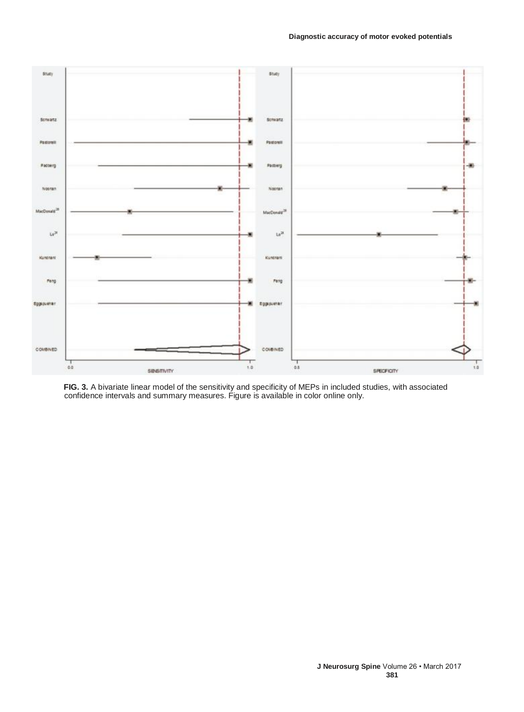

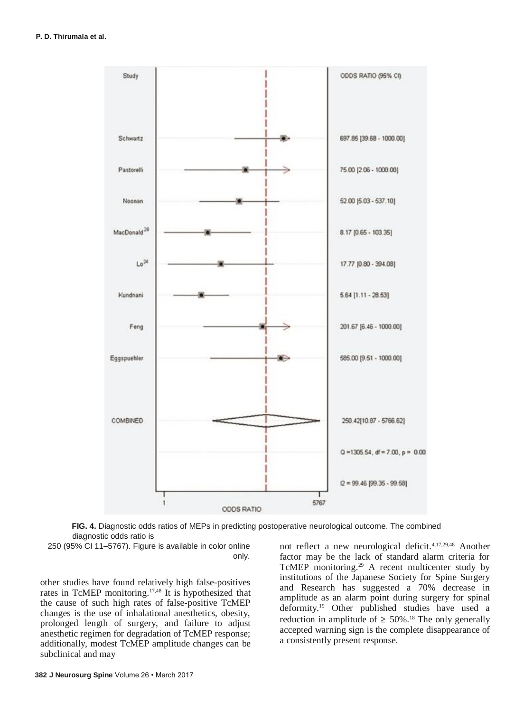



250 (95% CI 11–5767). Figure is available in color online only.

other studies have found relatively high false-positives rates in TcMEP monitoring.<sup>17,48</sup> It is hypothesized that the cause of such high rates of false-positive TcMEP changes is the use of inhalational anesthetics, obesity, prolonged length of surgery, and failure to adjust anesthetic regimen for degradation of TcMEP response; additionally, modest TcMEP amplitude changes can be subclinical and may

not reflect a new neurological deficit.4,17,29,48 Another factor may be the lack of standard alarm criteria for TcMEP monitoring.<sup>29</sup> A recent multicenter study by institutions of the Japanese Society for Spine Surgery and Research has suggested a 70% decrease in amplitude as an alarm point during surgery for spinal deformity.<sup>19</sup> Other published studies have used a reduction in amplitude of  $\geq 50\%$ .<sup>18</sup> The only generally accepted warning sign is the complete disappearance of a consistently present response.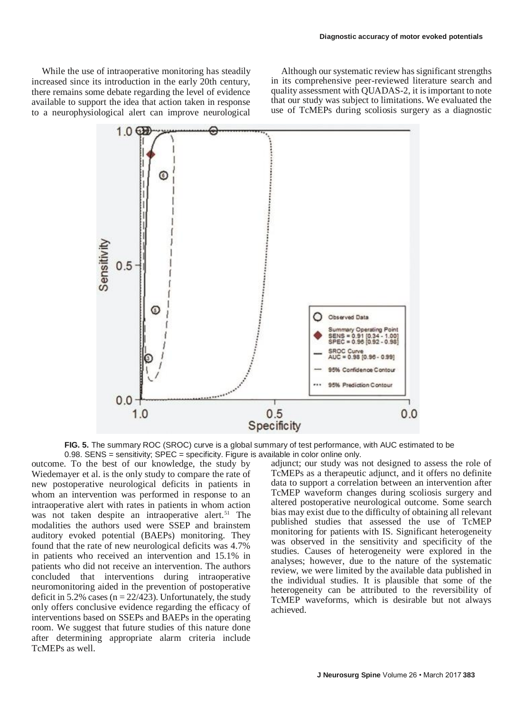While the use of intraoperative monitoring has steadily increased since its introduction in the early 20th century, there remains some debate regarding the level of evidence available to support the idea that action taken in response to a neurophysiological alert can improve neurological

Although our systematic review has significant strengths in its comprehensive peer-reviewed literature search and quality assessment with QUADAS-2, it is important to note that our study was subject to limitations. We evaluated the use of TcMEPs during scoliosis surgery as a diagnostic





outcome. To the best of our knowledge, the study by Wiedemayer et al. is the only study to compare the rate of new postoperative neurological deficits in patients in whom an intervention was performed in response to an intraoperative alert with rates in patients in whom action was not taken despite an intraoperative alert.<sup>51</sup> The modalities the authors used were SSEP and brainstem auditory evoked potential (BAEPs) monitoring. They found that the rate of new neurological deficits was 4.7% in patients who received an intervention and 15.1% in patients who did not receive an intervention. The authors concluded that interventions during intraoperative neuromonitoring aided in the prevention of postoperative deficit in 5.2% cases ( $n = 22/423$ ). Unfortunately, the study only offers conclusive evidence regarding the efficacy of interventions based on SSEPs and BAEPs in the operating room. We suggest that future studies of this nature done after determining appropriate alarm criteria include TcMEPs as well.

adjunct; our study was not designed to assess the role of TcMEPs as a therapeutic adjunct, and it offers no definite data to support a correlation between an intervention after TcMEP waveform changes during scoliosis surgery and altered postoperative neurological outcome. Some search bias may exist due to the difficulty of obtaining all relevant published studies that assessed the use of TcMEP monitoring for patients with IS. Significant heterogeneity was observed in the sensitivity and specificity of the studies. Causes of heterogeneity were explored in the analyses; however, due to the nature of the systematic review, we were limited by the available data published in the individual studies. It is plausible that some of the heterogeneity can be attributed to the reversibility of TcMEP waveforms, which is desirable but not always achieved.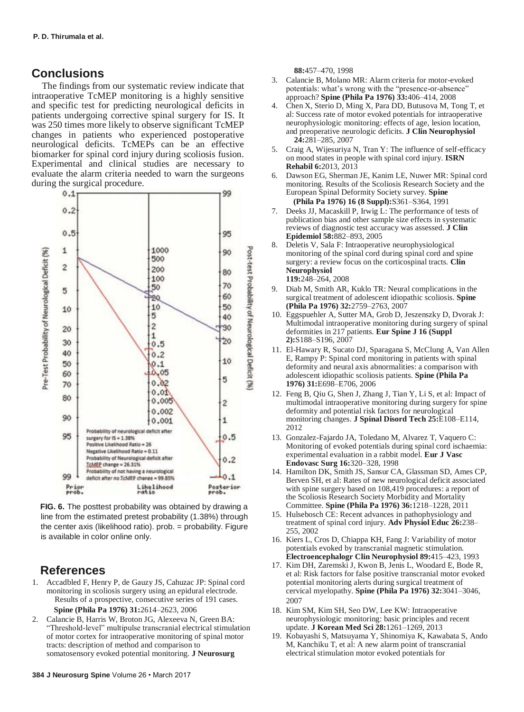## **Conclusions**

The findings from our systematic review indicate that intraoperative TcMEP monitoring is a highly sensitive and specific test for predicting neurological deficits in patients undergoing corrective spinal surgery for IS. It was 250 times more likely to observe significant TcMEP changes in patients who experienced postoperative neurological deficits. TcMEPs can be an effective biomarker for spinal cord injury during scoliosis fusion. Experimental and clinical studies are necessary to evaluate the alarm criteria needed to warn the surgeons during the surgical procedure.



**FIG. 6.** The posttest probability was obtained by drawing a line from the estimated pretest probability (1.38%) through the center axis (likelihood ratio). prob. = probability. Figure is available in color online only.

## **References**

- 1. Accadbled F, Henry P, de Gauzy JS, Cahuzac JP: Spinal cord monitoring in scoliosis surgery using an epidural electrode. Results of a prospective, consecutive series of 191 cases. **Spine (Phila Pa 1976) 31:**2614–2623, 2006
- 2. Calancie B, Harris W, Broton JG, Alexeeva N, Green BA: "Threshold-level" multipulse transcranial electrical stimulation of motor cortex for intraoperative monitoring of spinal motor tracts: description of method and comparison to somatosensory evoked potential monitoring. **J Neurosurg**

**88:**457–470, 1998

- 3. Calancie B, Molano MR: Alarm criteria for motor-evoked potentials: what's wrong with the "presence-or-absence" approach? **Spine (Phila Pa 1976) 33:**406–414, 2008
- 4. Chen X, Sterio D, Ming X, Para DD, Butusova M, Tong T, et al: Success rate of motor evoked potentials for intraoperative neurophysiologic monitoring: effects of age, lesion location, and preoperative neurologic deficits. **J Clin Neurophysiol 24:**281–285, 2007
- 5. Craig A, Wijesuriya N, Tran Y: The influence of self-efficacy on mood states in people with spinal cord injury. **ISRN Rehabil 6:**2013, 2013
- 6. Dawson EG, Sherman JE, Kanim LE, Nuwer MR: Spinal cord monitoring. Results of the Scoliosis Research Society and the European Spinal Deformity Society survey. **Spine (Phila Pa 1976) 16 (8 Suppl):**S361–S364, 1991
- 7. Deeks JJ, Macaskill P, Irwig L: The performance of tests of publication bias and other sample size effects in systematic reviews of diagnostic test accuracy was assessed. **J Clin Epidemiol 58:**882–893, 2005
- Deletis V, Sala F: Intraoperative neurophysiological monitoring of the spinal cord during spinal cord and spine surgery: a review focus on the corticospinal tracts. **Clin Neurophysiol 119:**248–264, 2008
- 9. Diab M, Smith AR, Kuklo TR: Neural complications in the surgical treatment of adolescent idiopathic scoliosis. **Spine (Phila Pa 1976) 32:**2759–2763, 2007
- 10. Eggspuehler A, Sutter MA, Grob D, Jeszenszky D, Dvorak J: Multimodal intraoperative monitoring during surgery of spinal deformities in 217 patients. **Eur Spine J 16 (Suppl 2):**S188–S196, 2007
- 11. El-Hawary R, Sucato DJ, Sparagana S, McClung A, Van Allen E, Rampy P: Spinal cord monitoring in patients with spinal deformity and neural axis abnormalities: a comparison with adolescent idiopathic scoliosis patients. **Spine (Phila Pa 1976) 31:**E698–E706, 2006
- 12. Feng B, Qiu G, Shen J, Zhang J, Tian Y, Li S, et al: Impact of multimodal intraoperative monitoring during surgery for spine deformity and potential risk factors for neurological monitoring changes. **J Spinal Disord Tech 25:**E108–E114, 2012
- 13. Gonzalez-Fajardo JA, Toledano M, Alvarez T, Vaquero C: Monitoring of evoked potentials during spinal cord ischaemia: experimental evaluation in a rabbit model. **Eur J Vasc Endovasc Surg 16:**320–328, 1998
- 14. Hamilton DK, Smith JS, Sansur CA, Glassman SD, Ames CP, Berven SH, et al: Rates of new neurological deficit associated with spine surgery based on 108,419 procedures: a report of the Scoliosis Research Society Morbidity and Mortality Committee. **Spine (Phila Pa 1976) 36:**1218–1228, 2011
- 15. Hulsebosch CE: Recent advances in pathophysiology and treatment of spinal cord injury. **Adv Physiol Educ 26:**238– 255, 2002
- 16. Kiers L, Cros D, Chiappa KH, Fang J: Variability of motor potentials evoked by transcranial magnetic stimulation. **Electroencephalogr Clin Neurophysiol 89:**415–423, 1993
- 17. Kim DH, Zaremski J, Kwon B, Jenis L, Woodard E, Bode R, et al: Risk factors for false positive transcranial motor evoked potential monitoring alerts during surgical treatment of cervical myelopathy. **Spine (Phila Pa 1976) 32:**3041–3046, 2007
- 18. Kim SM, Kim SH, Seo DW, Lee KW: Intraoperative neurophysiologic monitoring: basic principles and recent update. **J Korean Med Sci 28:**1261–1269, 2013
- 19. Kobayashi S, Matsuyama Y, Shinomiya K, Kawabata S, Ando M, Kanchiku T, et al: A new alarm point of transcranial electrical stimulation motor evoked potentials for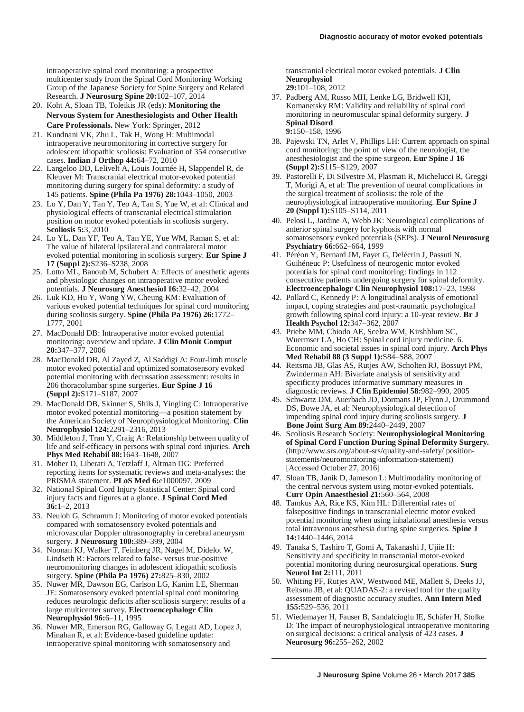intraoperative spinal cord monitoring: a prospective multicenter study from the Spinal Cord Monitoring Working Group of the Japanese Society for Spine Surgery and Related Research. **J Neurosurg Spine 20:**102–107, 2014

- 20. Koht A, Sloan TB, Toleikis JR (eds): **Monitoring the Nervous System for Anesthesiologists and Other Health Care Professionals.** New York: Springer, 2012
- 21. Kundnani VK, Zhu L, Tak H, Wong H: Multimodal intraoperative neuromonitoring in corrective surgery for adolescent idiopathic scoliosis: Evaluation of 354 consecutive cases. **Indian J Orthop 44:**64–72, 2010
- 22. Langeloo DD, Lelivelt A, Louis Journée H, Slappendel R, de Kleuver M: Transcranial electrical motor-evoked potential monitoring during surgery for spinal deformity: a study of 145 patients. **Spine (Phila Pa 1976) 28:**1043–1050, 2003
- 23. Lo Y, Dan Y, Tan Y, Teo A, Tan S, Yue W, et al: Clinical and physiological effects of transcranial electrical stimulation position on motor evoked potentials in scoliosis surgery. **Scoliosis 5:**3, 2010
- 24. Lo YL, Dan YF, Teo A, Tan YE, Yue WM, Raman S, et al: The value of bilateral ipsilateral and contralateral motor evoked potential monitoring in scoliosis surgery. **Eur Spine J 17 (Suppl 2):**S236–S238, 2008
- 25. Lotto ML, Banoub M, Schubert A: Effects of anesthetic agents and physiologic changes on intraoperative motor evoked potentials. **J Neurosurg Anesthesiol 16:**32–42, 2004
- 26. Luk KD, Hu Y, Wong YW, Cheung KM: Evaluation of various evoked potential techniques for spinal cord monitoring during scoliosis surgery. **Spine (Phila Pa 1976) 26:**1772– 1777, 2001
- 27. MacDonald DB: Intraoperative motor evoked potential monitoring: overview and update. **J Clin Monit Comput 20:**347–377, 2006
- 28. MacDonald DB, Al Zayed Z, Al Saddigi A: Four-limb muscle motor evoked potential and optimized somatosensory evoked potential monitoring with decussation assessment: results in 206 thoracolumbar spine surgeries. **Eur Spine J 16 (Suppl 2):**S171–S187, 2007
- 29. MacDonald DB, Skinner S, Shils J, Yingling C: Intraoperative motor evoked potential monitoring—a position statement by the American Society of Neurophysiological Monitoring. **Clin Neurophysiol 124:**2291–2316, 2013
- 30. Middleton J, Tran Y, Craig A: Relationship between quality of life and self-efficacy in persons with spinal cord injuries. **Arch Phys Med Rehabil 88:**1643–1648, 2007
- 31. Moher D, Liberati A, Tetzlaff J, Altman DG: Preferred reporting items for systematic reviews and meta-analyses: the PRISMA statement. **PLoS Med 6:**e1000097, 2009
- 32. National Spinal Cord Injury Statistical Center: Spinal cord injury facts and figures at a glance. **J Spinal Cord Med 36:**1–2, 2013
- 33. Neuloh G, Schramm J: Monitoring of motor evoked potentials compared with somatosensory evoked potentials and microvascular Doppler ultrasonography in cerebral aneurysm surgery. **J Neurosurg 100:**389–399, 2004
- 34. Noonan KJ, Walker T, Feinberg JR, Nagel M, Didelot W, Lindseth R: Factors related to false- versus true-positive neuromonitoring changes in adolescent idiopathic scoliosis surgery. **Spine (Phila Pa 1976) 27:**825–830, 2002
- 35. Nuwer MR, Dawson EG, Carlson LG, Kanim LE, Sherman JE: Somatosensory evoked potential spinal cord monitoring reduces neurologic deficits after scoliosis surgery: results of a large multicenter survey. **Electroencephalogr Clin Neurophysiol 96:**6–11, 1995
- 36. Nuwer MR, Emerson RG, Galloway G, Legatt AD, Lopez J, Minahan R, et al: Evidence-based guideline update: intraoperative spinal monitoring with somatosensory and

transcranial electrical motor evoked potentials. **J Clin Neurophysiol 29:**101–108, 2012

- 37. Padberg AM, Russo MH, Lenke LG, Bridwell KH, Komanetsky RM: Validity and reliability of spinal cord monitoring in neuromuscular spinal deformity surgery. **J Spinal Disord 9:**150–158, 1996
- 38. Pajewski TN, Arlet V, Phillips LH: Current approach on spinal cord monitoring: the point of view of the neurologist, the anesthesiologist and the spine surgeon. **Eur Spine J 16 (Suppl 2):**S115–S129, 2007
- 39. Pastorelli F, Di Silvestre M, Plasmati R, Michelucci R, Greggi T, Morigi A, et al: The prevention of neural complications in the surgical treatment of scoliosis: the role of the neurophysiological intraoperative monitoring. **Eur Spine J 20 (Suppl 1):**S105–S114, 2011
- 40. Pelosi L, Jardine A, Webb JK: Neurological complications of anterior spinal surgery for kyphosis with normal somatosensory evoked potentials (SEPs). **J Neurol Neurosurg Psychiatry 66:**662–664, 1999
- 41. Péréon Y, Bernard JM, Fayet G, Delécrin J, Passuti N, Guihéneuc P: Usefulness of neurogenic motor evoked potentials for spinal cord monitoring: findings in 112 consecutive patients undergoing surgery for spinal deformity. **Electroencephalogr Clin Neurophysiol 108:**17–23, 1998
- 42. Pollard C, Kennedy P: A longitudinal analysis of emotional impact, coping strategies and post-traumatic psychological growth following spinal cord injury: a 10-year review. **Br J Health Psychol 12:**347–362, 2007
- 43. Priebe MM, Chiodo AE, Scelza WM, Kirshblum SC, Wuermser LA, Ho CH: Spinal cord injury medicine. 6. Economic and societal issues in spinal cord injury. **Arch Phys Med Rehabil 88 (3 Suppl 1):**S84–S88, 2007
- 44. Reitsma JB, Glas AS, Rutjes AW, Scholten RJ, Bossuyt PM, Zwinderman AH: Bivariate analysis of sensitivity and specificity produces informative summary measures in diagnostic reviews. **J Clin Epidemiol 58:**982–990, 2005
- 45. Schwartz DM, Auerbach JD, Dormans JP, Flynn J, Drummond DS, Bowe JA, et al: Neurophysiological detection of impending spinal cord injury during scoliosis surgery. **J Bone Joint Surg Am 89:**2440–2449, 2007
- 46. Scoliosis Research Society: **Neurophysiological Monitoring of Spinal Cord Function During Spinal Deformity Surgery.** (http://www.srs.org/about-srs/quality-and-safety/ positionstatements/neuromonitoring-information-statement) [Accessed October 27, 2016]
- 47. Sloan TB, Janik D, Jameson L: Multimodality monitoring of the central nervous system using motor-evoked potentials. **Curr Opin Anaesthesiol 21:**560–564, 2008
- 48. Tamkus AA, Rice KS, Kim HL: Differential rates of falsepositive findings in transcranial electric motor evoked potential monitoring when using inhalational anesthesia versus total intravenous anesthesia during spine surgeries. **Spine J 14:**1440–1446, 2014
- 49. Tanaka S, Tashiro T, Gomi A, Takanashi J, Ujiie H: Sensitivity and specificity in transcranial motor-evoked potential monitoring during neurosurgical operations. **Surg Neurol Int 2:**111, 2011
- 50. Whiting PF, Rutjes AW, Westwood ME, Mallett S, Deeks JJ, Reitsma JB, et al: QUADAS-2: a revised tool for the quality assessment of diagnostic accuracy studies. **Ann Intern Med 155:**529–536, 2011
- 51. Wiedemayer H, Fauser B, Sandalcioglu IE, Schäfer H, Stolke D: The impact of neurophysiological intraoperative monitoring on surgical decisions: a critical analysis of 423 cases. **J Neurosurg 96:**255–262, 2002